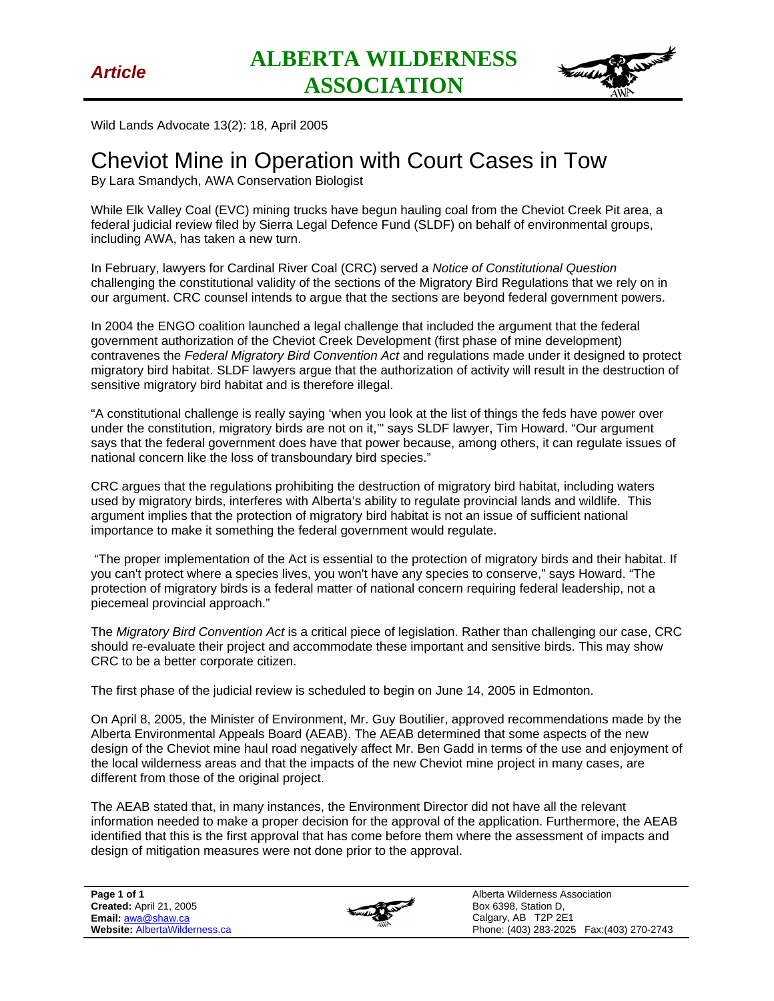

Wild Lands Advocate 13(2): 18, April 2005

## Cheviot Mine in Operation with Court Cases in Tow

By Lara Smandych, AWA Conservation Biologist

While Elk Valley Coal (EVC) mining trucks have begun hauling coal from the Cheviot Creek Pit area, a federal judicial review filed by Sierra Legal Defence Fund (SLDF) on behalf of environmental groups, including AWA, has taken a new turn.

In February, lawyers for Cardinal River Coal (CRC) served a *Notice of Constitutional Question* challenging the constitutional validity of the sections of the Migratory Bird Regulations that we rely on in our argument. CRC counsel intends to argue that the sections are beyond federal government powers.

In 2004 the ENGO coalition launched a legal challenge that included the argument that the federal government authorization of the Cheviot Creek Development (first phase of mine development) contravenes the *Federal Migratory Bird Convention Act* and regulations made under it designed to protect migratory bird habitat. SLDF lawyers argue that the authorization of activity will result in the destruction of sensitive migratory bird habitat and is therefore illegal.

"A constitutional challenge is really saying 'when you look at the list of things the feds have power over under the constitution, migratory birds are not on it,'" says SLDF lawyer, Tim Howard. "Our argument says that the federal government does have that power because, among others, it can regulate issues of national concern like the loss of transboundary bird species."

CRC argues that the regulations prohibiting the destruction of migratory bird habitat, including waters used by migratory birds, interferes with Alberta's ability to regulate provincial lands and wildlife. This argument implies that the protection of migratory bird habitat is not an issue of sufficient national importance to make it something the federal government would regulate.

 "The proper implementation of the Act is essential to the protection of migratory birds and their habitat. If you can't protect where a species lives, you won't have any species to conserve," says Howard. "The protection of migratory birds is a federal matter of national concern requiring federal leadership, not a piecemeal provincial approach."

The *Migratory Bird Convention Act* is a critical piece of legislation. Rather than challenging our case, CRC should re-evaluate their project and accommodate these important and sensitive birds. This may show CRC to be a better corporate citizen.

The first phase of the judicial review is scheduled to begin on June 14, 2005 in Edmonton.

On April 8, 2005, the Minister of Environment, Mr. Guy Boutilier, approved recommendations made by the Alberta Environmental Appeals Board (AEAB). The AEAB determined that some aspects of the new design of the Cheviot mine haul road negatively affect Mr. Ben Gadd in terms of the use and enjoyment of the local wilderness areas and that the impacts of the new Cheviot mine project in many cases, are different from those of the original project.

The AEAB stated that, in many instances, the Environment Director did not have all the relevant information needed to make a proper decision for the approval of the application. Furthermore, the AEAB identified that this is the first approval that has come before them where the assessment of impacts and design of mitigation measures were not done prior to the approval.